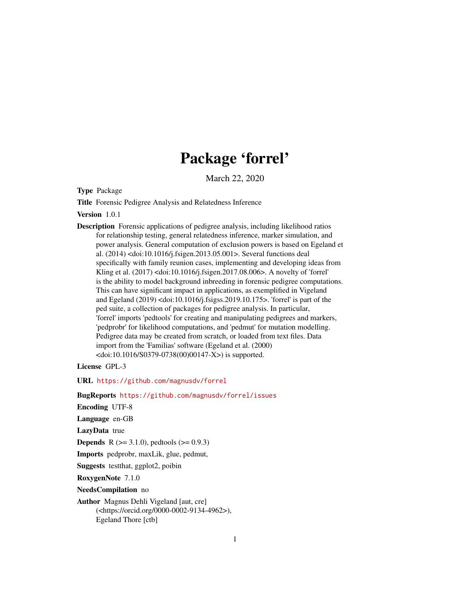# Package 'forrel'

March 22, 2020

<span id="page-0-0"></span>Type Package

Title Forensic Pedigree Analysis and Relatedness Inference

Version 1.0.1

Description Forensic applications of pedigree analysis, including likelihood ratios for relationship testing, general relatedness inference, marker simulation, and power analysis. General computation of exclusion powers is based on Egeland et al. (2014) <doi:10.1016/j.fsigen.2013.05.001>. Several functions deal specifically with family reunion cases, implementing and developing ideas from Kling et al. (2017) <doi:10.1016/j.fsigen.2017.08.006>. A novelty of 'forrel' is the ability to model background inbreeding in forensic pedigree computations. This can have significant impact in applications, as exemplified in Vigeland and Egeland (2019) <doi:10.1016/j.fsigss.2019.10.175>. 'forrel' is part of the ped suite, a collection of packages for pedigree analysis. In particular, 'forrel' imports 'pedtools' for creating and manipulating pedigrees and markers, 'pedprobr' for likelihood computations, and 'pedmut' for mutation modelling. Pedigree data may be created from scratch, or loaded from text files. Data import from the 'Familias' software (Egeland et al. (2000)  $\langle \text{doi:10.1016/S0379-0738(00)00147-X}\rangle$  is supported.

License GPL-3

URL <https://github.com/magnusdv/forrel>

BugReports <https://github.com/magnusdv/forrel/issues>

Encoding UTF-8

Language en-GB

LazyData true

**Depends** R ( $>= 3.1.0$ ), pedtools ( $>= 0.9.3$ )

Imports pedprobr, maxLik, glue, pedmut,

Suggests testthat, ggplot2, poibin

RoxygenNote 7.1.0

NeedsCompilation no

Author Magnus Dehli Vigeland [aut, cre] (<https://orcid.org/0000-0002-9134-4962>), Egeland Thore [ctb]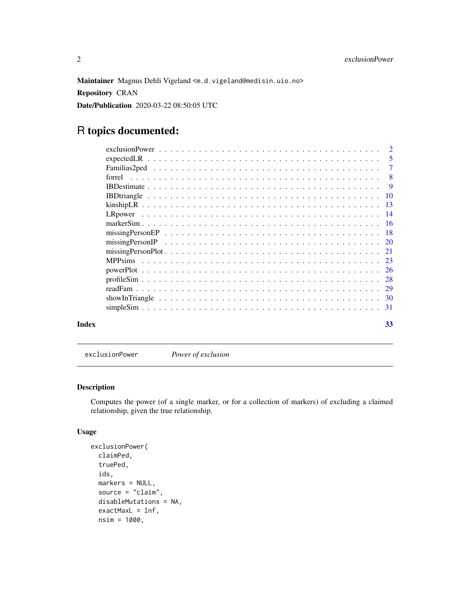<span id="page-1-0"></span>Maintainer Magnus Dehli Vigeland <m.d.vigeland@medisin.uio.no> Repository CRAN Date/Publication 2020-03-22 08:50:05 UTC

# R topics documented:

|       |        | $\overline{2}$             |
|-------|--------|----------------------------|
|       |        | $\overline{\phantom{0}}$ 5 |
|       |        | $\overline{7}$             |
|       | forrel | $\overline{\phantom{0}}8$  |
|       |        |                            |
|       |        |                            |
|       |        |                            |
|       |        |                            |
|       |        |                            |
|       |        |                            |
|       |        |                            |
|       |        |                            |
|       |        |                            |
|       |        |                            |
|       |        |                            |
|       |        |                            |
|       |        |                            |
|       |        |                            |
| Index |        | 33                         |

<span id="page-1-1"></span>exclusionPower *Power of exclusion*

## Description

Computes the power (of a single marker, or for a collection of markers) of excluding a claimed relationship, given the true relationship.

```
exclusionPower(
  claimPed,
  truePed,
  ids,
 markers = NULL,
  source = "claim",
  disableMutations = NA,
  exactMaxL = Inf,nsim = 1000,
```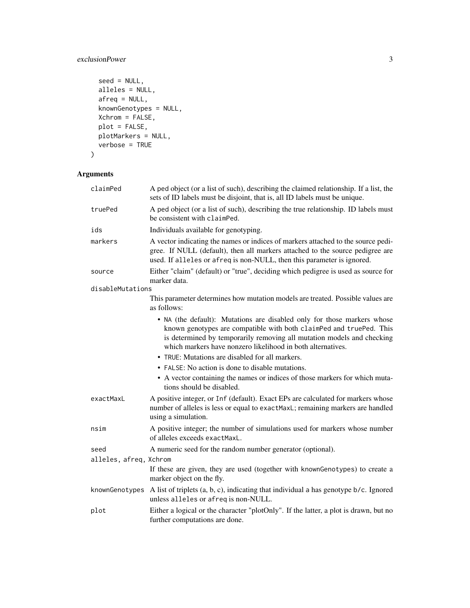## exclusionPower 3

```
seed = NULL,alleles = NULL,
afreq = NULL,
knownGenotypes = NULL,
Xchrom = FALSE,
plot = FALSE,
plotMarkers = NULL,
verbose = TRUE
```
# $\mathcal{L}$

## Arguments

| claimPed               | A ped object (or a list of such), describing the claimed relationship. If a list, the<br>sets of ID labels must be disjoint, that is, all ID labels must be unique.                                                                                                                     |
|------------------------|-----------------------------------------------------------------------------------------------------------------------------------------------------------------------------------------------------------------------------------------------------------------------------------------|
| truePed                | A ped object (or a list of such), describing the true relationship. ID labels must<br>be consistent with claimPed.                                                                                                                                                                      |
| ids                    | Individuals available for genotyping.                                                                                                                                                                                                                                                   |
| markers                | A vector indicating the names or indices of markers attached to the source pedi-<br>gree. If NULL (default), then all markers attached to the source pedigree are<br>used. If alleles or afreq is non-NULL, then this parameter is ignored.                                             |
| source                 | Either "claim" (default) or "true", deciding which pedigree is used as source for<br>marker data.                                                                                                                                                                                       |
| disableMutations       |                                                                                                                                                                                                                                                                                         |
|                        | This parameter determines how mutation models are treated. Possible values are<br>as follows:                                                                                                                                                                                           |
|                        | • NA (the default): Mutations are disabled only for those markers whose<br>known genotypes are compatible with both claimPed and truePed. This<br>is determined by temporarily removing all mutation models and checking<br>which markers have nonzero likelihood in both alternatives. |
|                        | • TRUE: Mutations are disabled for all markers.                                                                                                                                                                                                                                         |
|                        | • FALSE: No action is done to disable mutations.                                                                                                                                                                                                                                        |
|                        | • A vector containing the names or indices of those markers for which muta-<br>tions should be disabled.                                                                                                                                                                                |
| exactMaxL              | A positive integer, or Inf (default). Exact EPs are calculated for markers whose<br>number of alleles is less or equal to exactMaxL; remaining markers are handled<br>using a simulation.                                                                                               |
| nsim                   | A positive integer; the number of simulations used for markers whose number<br>of alleles exceeds exactMaxL.                                                                                                                                                                            |
| seed                   | A numeric seed for the random number generator (optional).                                                                                                                                                                                                                              |
| alleles, afreq, Xchrom |                                                                                                                                                                                                                                                                                         |
|                        | If these are given, they are used (together with knownGenotypes) to create a<br>marker object on the fly.                                                                                                                                                                               |
| knownGenotypes         | A list of triplets $(a, b, c)$ , indicating that individual a has genotype $b/c$ . Ignored<br>unless alleles or afreq is non-NULL.                                                                                                                                                      |
| plot                   | Either a logical or the character "plotOnly". If the latter, a plot is drawn, but no<br>further computations are done.                                                                                                                                                                  |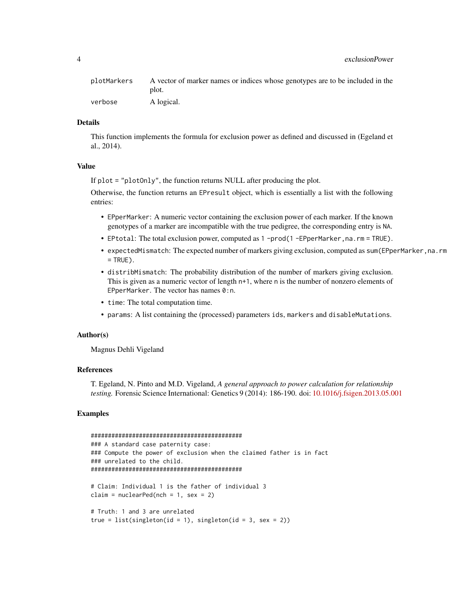| plotMarkers | A vector of marker names or indices whose genotypes are to be included in the<br>plot. |
|-------------|----------------------------------------------------------------------------------------|
| verbose     | A logical.                                                                             |

#### Details

This function implements the formula for exclusion power as defined and discussed in (Egeland et al., 2014).

#### Value

If plot = "plotOnly", the function returns NULL after producing the plot.

Otherwise, the function returns an EPresult object, which is essentially a list with the following entries:

- EPperMarker: A numeric vector containing the exclusion power of each marker. If the known genotypes of a marker are incompatible with the true pedigree, the corresponding entry is NA.
- EPtotal: The total exclusion power, computed as 1 -prod(1 -EPperMarker, na.rm = TRUE).
- expectedMismatch: The expected number of markers giving exclusion, computed as sum (EPperMarker, na.rm  $=$  TRUE).
- distribMismatch: The probability distribution of the number of markers giving exclusion. This is given as a numeric vector of length n+1, where n is the number of nonzero elements of EPperMarker. The vector has names 0:n.
- time: The total computation time.
- params: A list containing the (processed) parameters ids, markers and disableMutations.

#### Author(s)

Magnus Dehli Vigeland

#### References

T. Egeland, N. Pinto and M.D. Vigeland, *A general approach to power calculation for relationship testing.* Forensic Science International: Genetics 9 (2014): 186-190. doi: [10.1016/j.fsigen.2013.05.001](https://doi.org/10.1016/j.fsigen.2013.05.001)

```
############################################
### A standard case paternity case:
### Compute the power of exclusion when the claimed father is in fact
### unrelated to the child.
############################################
# Claim: Individual 1 is the father of individual 3
claim = nuclearPed(nch = 1, sex = 2)
# Truth: 1 and 3 are unrelated
true = list(singleton(id = 1), singleton(id = 3, sex = 2))
```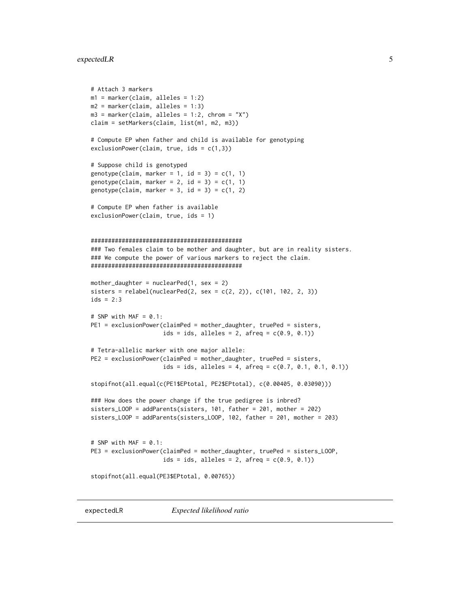## <span id="page-4-0"></span>expectedLR 5

```
# Attach 3 markers
m1 = marker(claim, alleles = 1:2)
m2 = marker(claim, alleles = 1:3)
m3 = marker(claim, alleles = 1:2, chrom = "X")
claim = setMarkers(claim, list(m1, m2, m3))
# Compute EP when father and child is available for genotyping
exclusionPower(claim, true, ids = c(1,3))
# Suppose child is genotyped
genotype(claim, marker = 1, id = 3) = c(1, 1)genotype(claim, marker = 2, id = 3) = c(1, 1)genotype(claim, marker = 3, id = 3) = c(1, 2)# Compute EP when father is available
exclusionPower(claim, true, ids = 1)
############################################
### Two females claim to be mother and daughter, but are in reality sisters.
### We compute the power of various markers to reject the claim.
############################################
mother_daughter = nuclearPed(1, sex = 2)sisters = relabel(nuclearPed(2, sex = c(2, 2)), c(101, 102, 2, 3))ids = 2:3# SNP with MAF = 0.1:
PE1 = exclusionPower(claimPed = mother_daughter, truePed = sisters,
                     ids = ids, alleles = 2, afreq = c(0.9, 0.1))
# Tetra-allelic marker with one major allele:
PE2 = exclusionPower(claimPed = mother_daughter, truePed = sisters,
                     ids = ids, alleles = 4, afreq = c(0.7, 0.1, 0.1, 0.1))
stopifnot(all.equal(c(PE1$EPtotal, PE2$EPtotal), c(0.00405, 0.03090)))
### How does the power change if the true pedigree is inbred?
sisters_LOOP = addParents(sisters, 101, father = 201, mother = 202)
sisters_LOOP = addParents(sisters_LOOP, 102, father = 201, mother = 203)
# SNP with MAF = 0.1:
PE3 = exclusionPower(claimPed = mother_daughter, truePed = sisters_LOOP,
                     ids = ids, alleles = 2, afreq = c(0.9, 0.1))
stopifnot(all.equal(PE3$EPtotal, 0.00765))
```
expectedLR *Expected likelihood ratio*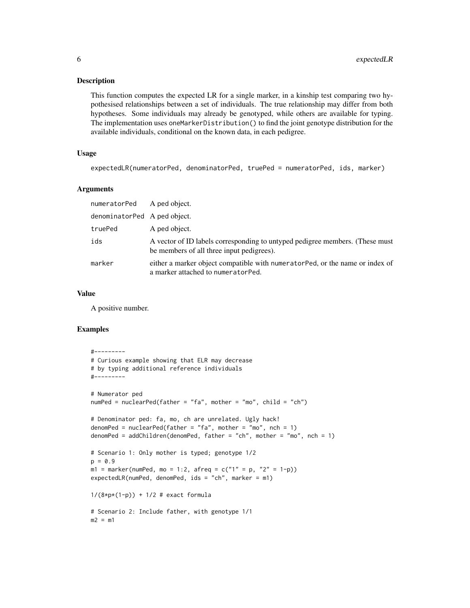#### Description

This function computes the expected LR for a single marker, in a kinship test comparing two hypothesised relationships between a set of individuals. The true relationship may differ from both hypotheses. Some individuals may already be genotyped, while others are available for typing. The implementation uses oneMarkerDistribution() to find the joint genotype distribution for the available individuals, conditional on the known data, in each pedigree.

## Usage

```
expectedLR(numeratorPed, denominatorPed, truePed = numeratorPed, ids, marker)
```
## Arguments

| numeratorPed A ped object.   |                                                                                                                           |
|------------------------------|---------------------------------------------------------------------------------------------------------------------------|
| denominatorPed A ped object. |                                                                                                                           |
| truePed                      | A ped object.                                                                                                             |
| ids                          | A vector of ID labels corresponding to untyped pedigree members. (These must<br>be members of all three input pedigrees). |
| marker                       | either a marker object compatible with numerator Ped, or the name or index of<br>a marker attached to numeratorPed.       |

#### Value

A positive number.

```
#---------
# Curious example showing that ELR may decrease
# by typing additional reference individuals
#---------
# Numerator ped
numPed = nuclearPed(father = "fa", mother = "mo", child = "ch")
# Denominator ped: fa, mo, ch are unrelated. Ugly hack!
denomPed = nuclearPed(father = "fa", mother = "mo", nch = 1)
denomPed = addChildren(denomPed, father = "ch", mother = "mo", nch = 1)
# Scenario 1: Only mother is typed; genotype 1/2
p = 0.9ml = marker(numPed, mo = 1:2, afreq = c("1" = p, "2" = 1-p))expectedLR(numPed, denomPed, ids = "ch", marker = m1)
1/(8*p*(1-p)) + 1/2 # exact formula# Scenario 2: Include father, with genotype 1/1
m2 = m1
```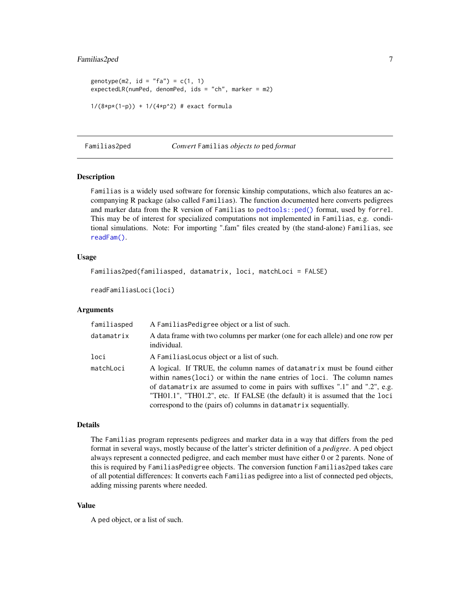## <span id="page-6-0"></span>Familias2ped 7

```
genotype(m2, id = "fa") = c(1, 1)expectedLR(numPed, denomPed, ids = "ch", marker = m2)
1/(8*p*(1-p)) + 1/(4*p*2) # exact formula
```
Familias2ped *Convert* Familias *objects to* ped *format*

#### Description

Familias is a widely used software for forensic kinship computations, which also features an accompanying R package (also called Familias). The function documented here converts pedigrees and marker data from the R version of Familias to [pedtools::ped\(\)](#page-0-0) format, used by forrel. This may be of interest for specialized computations not implemented in Familias, e.g. conditional simulations. Note: For importing ".fam" files created by (the stand-alone) Familias, see [readFam\(\)](#page-28-1).

#### Usage

```
Familias2ped(familiasped, datamatrix, loci, matchLoci = FALSE)
```

```
readFamiliasLoci(loci)
```
#### Arguments

| familiasped | A FamiliasPedigree object or a list of such.                                                                                                                                                                                                                                                                                                                                           |
|-------------|----------------------------------------------------------------------------------------------------------------------------------------------------------------------------------------------------------------------------------------------------------------------------------------------------------------------------------------------------------------------------------------|
| datamatrix  | A data frame with two columns per marker (one for each allele) and one row per<br>individual.                                                                                                                                                                                                                                                                                          |
| loci        | A Familias Locus object or a list of such.                                                                                                                                                                                                                                                                                                                                             |
| matchLoci   | A logical. If TRUE, the column names of datamatrix must be found either<br>within names (loci) or within the name entries of loci. The column names<br>of datamatrix are assumed to come in pairs with suffixes ".1" and ".2", e.g.<br>"TH01.1", "TH01.2", etc. If FALSE (the default) it is assumed that the loci<br>correspond to the (pairs of) columns in datamatrix sequentially. |

#### Details

The Familias program represents pedigrees and marker data in a way that differs from the ped format in several ways, mostly because of the latter's stricter definition of a *pedigree*. A ped object always represent a connected pedigree, and each member must have either 0 or 2 parents. None of this is required by FamiliasPedigree objects. The conversion function Familias2ped takes care of all potential differences: It converts each Familias pedigree into a list of connected ped objects, adding missing parents where needed.

#### Value

A ped object, or a list of such.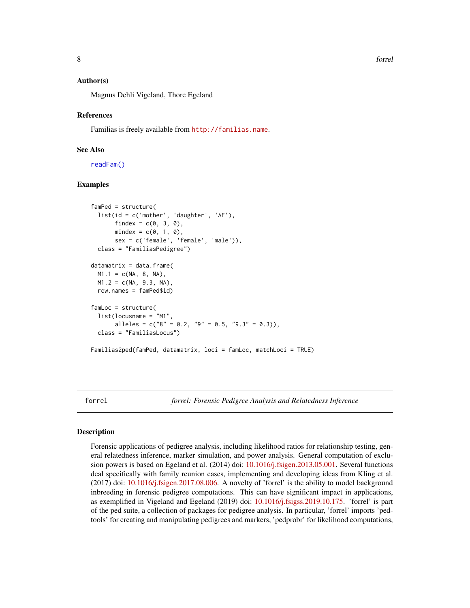## <span id="page-7-0"></span>Author(s)

Magnus Dehli Vigeland, Thore Egeland

#### References

Familias is freely available from <http://familias.name>.

## See Also

[readFam\(\)](#page-28-1)

## Examples

```
famPed = structure(
 list(id = c('mother', 'daughter', 'AF'),
       findex = c(\emptyset, 3, 0),
       mindex = c(0, 1, 0),sex = c('female', 'female', 'male')),
 class = "FamiliasPedigree")
datamatrix = data.frame(M1.1 = c(NA, 8, NA),M1.2 = c(NA, 9.3, NA),
 row.names = famPed$id)
famLoc = structure(
 list(locusname = "M1",
       alleles = c("8" = 0.2, "9" = 0.5, "9.3" = 0.3),
 class = "FamiliasLocus")
Familias2ped(famPed, datamatrix, loci = famLoc, matchLoci = TRUE)
```
forrel *forrel: Forensic Pedigree Analysis and Relatedness Inference*

#### Description

Forensic applications of pedigree analysis, including likelihood ratios for relationship testing, general relatedness inference, marker simulation, and power analysis. General computation of exclusion powers is based on Egeland et al. (2014) doi: [10.1016/j.fsigen.2013.05.001.](https://doi.org/10.1016/j.fsigen.2013.05.001) Several functions deal specifically with family reunion cases, implementing and developing ideas from Kling et al. (2017) doi: [10.1016/j.fsigen.2017.08.006.](https://doi.org/10.1016/j.fsigen.2017.08.006) A novelty of 'forrel' is the ability to model background inbreeding in forensic pedigree computations. This can have significant impact in applications, as exemplified in Vigeland and Egeland (2019) doi: [10.1016/j.fsigss.2019.10.175.](https://doi.org/10.1016/j.fsigss.2019.10.175) 'forrel' is part of the ped suite, a collection of packages for pedigree analysis. In particular, 'forrel' imports 'pedtools' for creating and manipulating pedigrees and markers, 'pedprobr' for likelihood computations,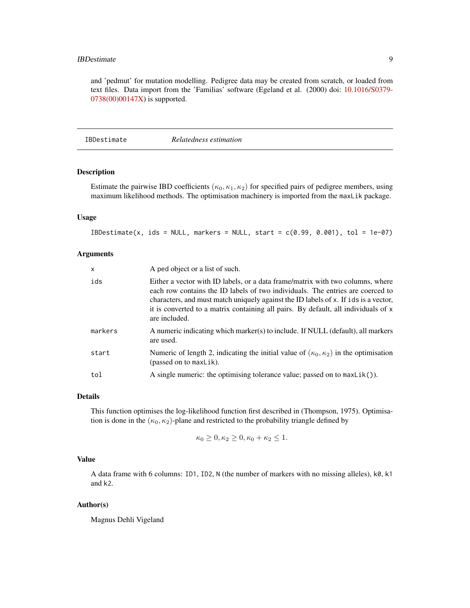#### <span id="page-8-0"></span>**IBDestimate** 9

and 'pedmut' for mutation modelling. Pedigree data may be created from scratch, or loaded from text files. Data import from the 'Familias' software (Egeland et al. (2000) doi: [10.1016/S0379-](https://doi.org/10.1016/S0379-0738(00)00147-X) [0738\(00\)00147X\)](https://doi.org/10.1016/S0379-0738(00)00147-X) is supported.

<span id="page-8-1"></span>IBDestimate *Relatedness estimation*

#### Description

Estimate the pairwise IBD coefficients ( $\kappa_0, \kappa_1, \kappa_2$ ) for specified pairs of pedigree members, using maximum likelihood methods. The optimisation machinery is imported from the maxLik package.

## Usage

 $IBDestimate(x, ids = NULL, markers = NULL, start = c(0.99, 0.001), tol = 1e-07)$ 

#### Arguments

| $\times$ | A ped object or a list of such.                                                                                                                                                                                                                                                                                                                                |
|----------|----------------------------------------------------------------------------------------------------------------------------------------------------------------------------------------------------------------------------------------------------------------------------------------------------------------------------------------------------------------|
| ids      | Either a vector with ID labels, or a data frame/matrix with two columns, where<br>each row contains the ID labels of two individuals. The entries are coerced to<br>characters, and must match uniquely against the ID labels of x. If ids is a vector,<br>it is converted to a matrix containing all pairs. By default, all individuals of x<br>are included. |
| markers  | A numeric indicating which marker(s) to include. If NULL (default), all markers<br>are used.                                                                                                                                                                                                                                                                   |
| start    | Numeric of length 2, indicating the initial value of $(\kappa_0, \kappa_2)$ in the optimisation<br>(passed on to maxLik).                                                                                                                                                                                                                                      |
| tol      | A single numeric: the optimising tolerance value; passed on to $maxList()$ .                                                                                                                                                                                                                                                                                   |

#### Details

This function optimises the log-likelihood function first described in (Thompson, 1975). Optimisation is done in the  $(\kappa_0, \kappa_2)$ -plane and restricted to the probability triangle defined by

$$
\kappa_0 \geq 0, \kappa_2 \geq 0, \kappa_0 + \kappa_2 \leq 1.
$$

#### Value

A data frame with 6 columns: ID1, ID2, N (the number of markers with no missing alleles), k0, k1 and k2.

#### Author(s)

Magnus Dehli Vigeland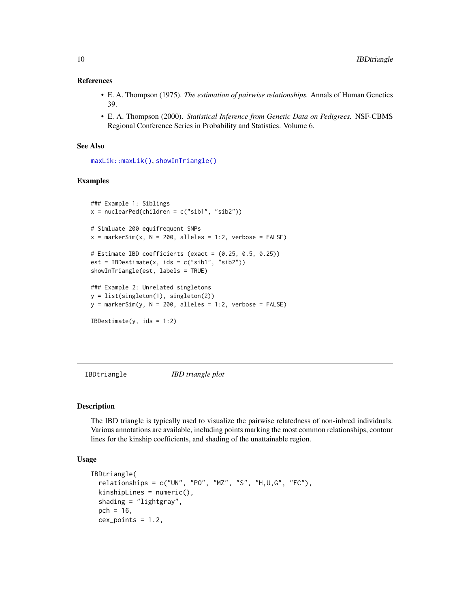#### <span id="page-9-0"></span>References

- E. A. Thompson (1975). *The estimation of pairwise relationships.* Annals of Human Genetics 39.
- E. A. Thompson (2000). *Statistical Inference from Genetic Data on Pedigrees.* NSF-CBMS Regional Conference Series in Probability and Statistics. Volume 6.

## See Also

```
maxLik::maxLik(), showInTriangle()
```
## Examples

```
### Example 1: Siblings
x = nuclearPed(children = c("sib1", "sib2"))# Simluate 200 equifrequent SNPs
x = markerSim(x, N = 200, alleles = 1:2, verbose = FALSE)
# Estimate IBD coefficients (exact = (0.25, 0.5, 0.25))
est = IBDestimate(x, ids = c("sib1", "sib2"))
showInTriangle(est, labels = TRUE)
### Example 2: Unrelated singletons
y = list(singleton(1), singleton(2))
y = markerSim(y, N = 200, alleles = 1:2, verbose = FALSE)
IBDestimate(y, ids = 1:2)
```
IBDtriangle *IBD triangle plot*

#### Description

The IBD triangle is typically used to visualize the pairwise relatedness of non-inbred individuals. Various annotations are available, including points marking the most common relationships, contour lines for the kinship coefficients, and shading of the unattainable region.

```
IBDtriangle(
  relationships = c("UN", "PO", "MZ", "S", "H,U,G", "FC"),kinshipLines = numeric(),
  shading = "lightgray",
  pch = 16,
  cex\_points = 1.2,
```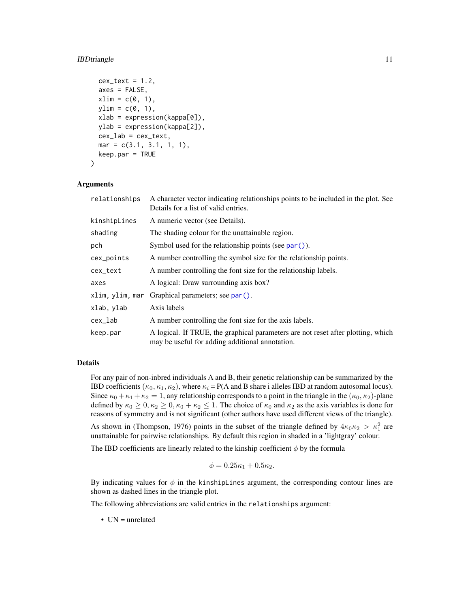#### <span id="page-10-0"></span>**IBDtriangle** 11

```
cex\_text = 1.2,axes = FALSE,
xlim = c(0, 1),ylim = c(0, 1),xlab = expression(kappa[0]),
ylab = expression(kappa[2]),
cex\_lab = cex\_text,mar = c(3.1, 3.1, 1, 1),keep.par = TRUE
```
#### Arguments

)

| relationships | A character vector indicating relationships points to be included in the plot. See<br>Details for a list of valid entries.          |
|---------------|-------------------------------------------------------------------------------------------------------------------------------------|
| kinshipLines  | A numeric vector (see Details).                                                                                                     |
| shading       | The shading colour for the unattainable region.                                                                                     |
| pch           | Symbol used for the relationship points (see $par()$ ).                                                                             |
| cex_points    | A number controlling the symbol size for the relationship points.                                                                   |
| cex_text      | A number controlling the font size for the relationship labels.                                                                     |
| axes          | A logical: Draw surrounding axis box?                                                                                               |
|               | xlim, ylim, mar Graphical parameters; see par().                                                                                    |
| xlab, ylab    | Axis labels                                                                                                                         |
| cex_lab       | A number controlling the font size for the axis labels.                                                                             |
| keep.par      | A logical. If TRUE, the graphical parameters are not reset after plotting, which<br>may be useful for adding additional annotation. |

## Details

For any pair of non-inbred individuals A and B, their genetic relationship can be summarized by the IBD coefficients  $(\kappa_0, \kappa_1, \kappa_2)$ , where  $\kappa_i = P(A \text{ and } B \text{ share } i \text{ alleles IBD at random autosomal locus}).$ Since  $\kappa_0 + \kappa_1 + \kappa_2 = 1$ , any relationship corresponds to a point in the triangle in the  $(\kappa_0, \kappa_2)$ -plane defined by  $\kappa_0 \ge 0, \kappa_2 \ge 0, \kappa_0 + \kappa_2 \le 1$ . The choice of  $\kappa_0$  and  $\kappa_2$  as the axis variables is done for reasons of symmetry and is not significant (other authors have used different views of the triangle).

As shown in (Thompson, 1976) points in the subset of the triangle defined by  $4\kappa_0\kappa_2 > \kappa_1^2$  are unattainable for pairwise relationships. By default this region in shaded in a 'lightgray' colour.

The IBD coefficients are linearly related to the kinship coefficient  $\phi$  by the formula

$$
\phi = 0.25\kappa_1 + 0.5\kappa_2.
$$

By indicating values for  $\phi$  in the kinshiplines argument, the corresponding contour lines are shown as dashed lines in the triangle plot.

The following abbreviations are valid entries in the relationships argument:

• UN = unrelated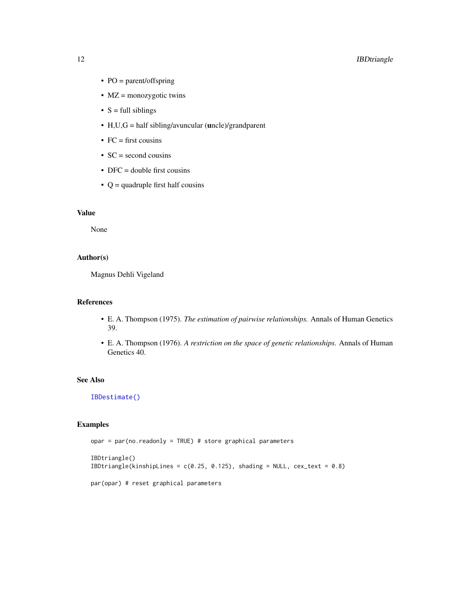## <span id="page-11-0"></span>12 **IBDtriangle**

- PO = parent/offspring
- MZ = monozygotic twins
- $S = full siblings$
- H,U,G = half sibling/avuncular (uncle)/grandparent
- $FC = first \text{cousins}$
- $SC = second \text{ cousins}$
- DFC = double first cousins
- $Q =$  quadruple first half cousins

## Value

None

## Author(s)

Magnus Dehli Vigeland

#### References

- E. A. Thompson (1975). *The estimation of pairwise relationships.* Annals of Human Genetics 39.
- E. A. Thompson (1976). *A restriction on the space of genetic relationships.* Annals of Human Genetics 40.

## See Also

[IBDestimate\(\)](#page-8-1)

```
opar = par(no.readonly = TRUE) # store graphical parameters
```

```
IBDtriangle()
IBDtriangle(kinshipLines = c(0.25, 0.125), shading = NULL, cex\_text = 0.8)par(opar) # reset graphical parameters
```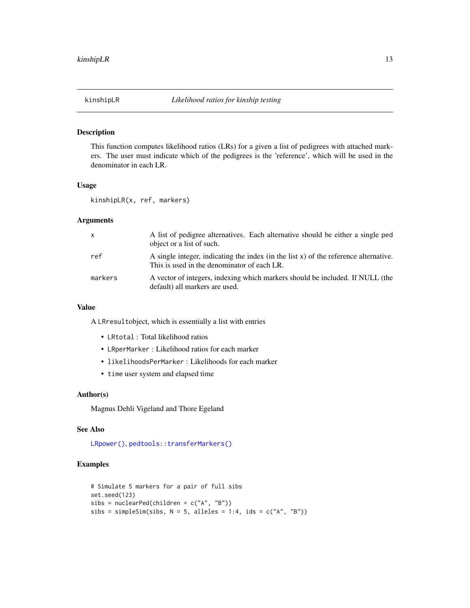<span id="page-12-0"></span>

## Description

This function computes likelihood ratios (LRs) for a given a list of pedigrees with attached markers. The user must indicate which of the pedigrees is the 'reference', which will be used in the denominator in each LR.

#### Usage

kinshipLR(x, ref, markers)

## Arguments

| X       | A list of pedigree alternatives. Each alternative should be either a single ped<br>object or a list of such.                        |
|---------|-------------------------------------------------------------------------------------------------------------------------------------|
| ref     | A single integer, indicating the index (in the list x) of the reference alternative.<br>This is used in the denominator of each LR. |
| markers | A vector of integers, indexing which markers should be included. If NULL (the<br>default) all markers are used.                     |

#### Value

A LRresultobject, which is essentially a list with entries

- LRtotal : Total likelihood ratios
- LRperMarker : Likelihood ratios for each marker
- likelihoodsPerMarker : Likelihoods for each marker
- time user system and elapsed time

## Author(s)

Magnus Dehli Vigeland and Thore Egeland

#### See Also

[LRpower\(\)](#page-13-1), [pedtools::transferMarkers\(\)](#page-0-0)

```
# Simulate 5 markers for a pair of full sibs
set.seed(123)
sibs = nuclearPed(children = c("A", "B"))sibs = simpleSim(sibs, N = 5, alleles = 1:4, ids = c("A", "B"))
```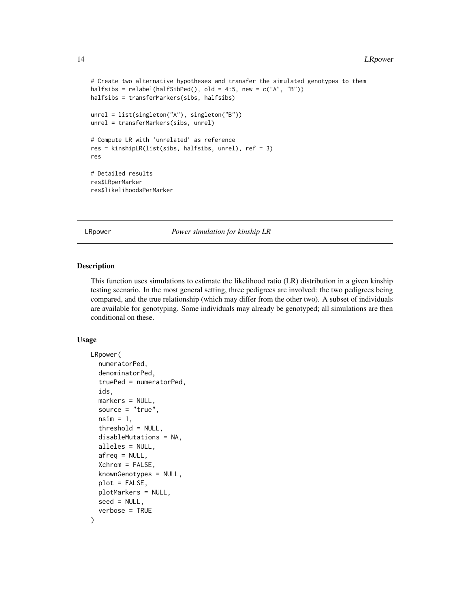```
# Create two alternative hypotheses and transfer the simulated genotypes to them
halfsibs = relabel(halfSibPed(), old = 4:5, new = c("A", "B"))
halfsibs = transferMarkers(sibs, halfsibs)
unrel = list(singleton("A"), singleton("B"))
unrel = transferMarkers(sibs, unrel)
# Compute LR with 'unrelated' as reference
res = kinshipLR(list(sibs, halfsibs, unrel), ref = 3)
res
# Detailed results
res$LRperMarker
res$likelihoodsPerMarker
```
<span id="page-13-1"></span>LRpower *Power simulation for kinship LR*

## Description

This function uses simulations to estimate the likelihood ratio (LR) distribution in a given kinship testing scenario. In the most general setting, three pedigrees are involved: the two pedigrees being compared, and the true relationship (which may differ from the other two). A subset of individuals are available for genotyping. Some individuals may already be genotyped; all simulations are then conditional on these.

```
LRpower(
  numeratorPed,
  denominatorPed,
  truePed = numeratorPed,
  ids,
  markers = NULL,
  source = "true",nsim = 1,
  threshold = NULL,
  disableMutations = NA,
  alleles = NULL,
  afreq = NULL,
  Xchrom = FALSE,
  knownGenotypes = NULL,
  plot = FALSE,
  plotMarkers = NULL,
  seed = NULL,
  verbose = TRUE
)
```
<span id="page-13-0"></span>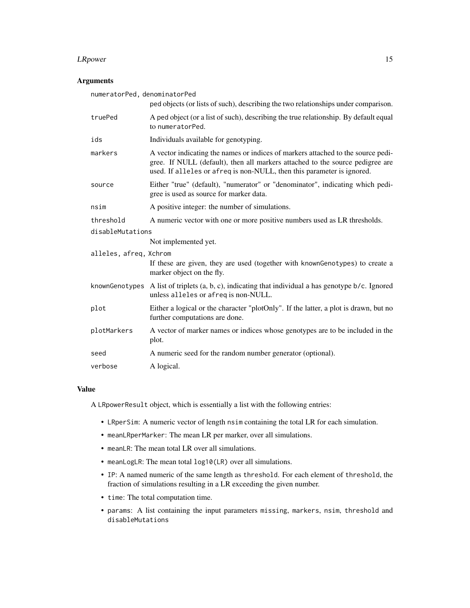#### **LRpower** 15

## Arguments

| numeratorPed, denominatorPed | ped objects (or lists of such), describing the two relationships under comparison.                                                                                                                                                          |
|------------------------------|---------------------------------------------------------------------------------------------------------------------------------------------------------------------------------------------------------------------------------------------|
| truePed                      | A ped object (or a list of such), describing the true relationship. By default equal<br>to numeratorPed.                                                                                                                                    |
| ids                          | Individuals available for genotyping.                                                                                                                                                                                                       |
| markers                      | A vector indicating the names or indices of markers attached to the source pedi-<br>gree. If NULL (default), then all markers attached to the source pedigree are<br>used. If alleles or afreq is non-NULL, then this parameter is ignored. |
| source                       | Either "true" (default), "numerator" or "denominator", indicating which pedi-<br>gree is used as source for marker data.                                                                                                                    |
| nsim                         | A positive integer: the number of simulations.                                                                                                                                                                                              |
| threshold                    | A numeric vector with one or more positive numbers used as LR thresholds.                                                                                                                                                                   |
| disableMutations             |                                                                                                                                                                                                                                             |
|                              | Not implemented yet.                                                                                                                                                                                                                        |
| alleles, afreq, Xchrom       | If these are given, they are used (together with knownGenotypes) to create a<br>marker object on the fly.                                                                                                                                   |
|                              | knownGenotypes A list of triplets $(a, b, c)$ , indicating that individual a has genotype $b/c$ . Ignored<br>unless alleles or afreq is non-NULL.                                                                                           |
| plot                         | Either a logical or the character "plotOnly". If the latter, a plot is drawn, but no<br>further computations are done.                                                                                                                      |
| plotMarkers                  | A vector of marker names or indices whose genotypes are to be included in the<br>plot.                                                                                                                                                      |
| seed                         | A numeric seed for the random number generator (optional).                                                                                                                                                                                  |
| verbose                      | A logical.                                                                                                                                                                                                                                  |

### Value

A LRpowerResult object, which is essentially a list with the following entries:

- LRperSim: A numeric vector of length nsim containing the total LR for each simulation.
- meanLRperMarker: The mean LR per marker, over all simulations.
- meanLR: The mean total LR over all simulations.
- meanLogLR: The mean total log10(LR) over all simulations.
- IP: A named numeric of the same length as threshold. For each element of threshold, the fraction of simulations resulting in a LR exceeding the given number.
- time: The total computation time.
- params: A list containing the input parameters missing, markers, nsim, threshold and disableMutations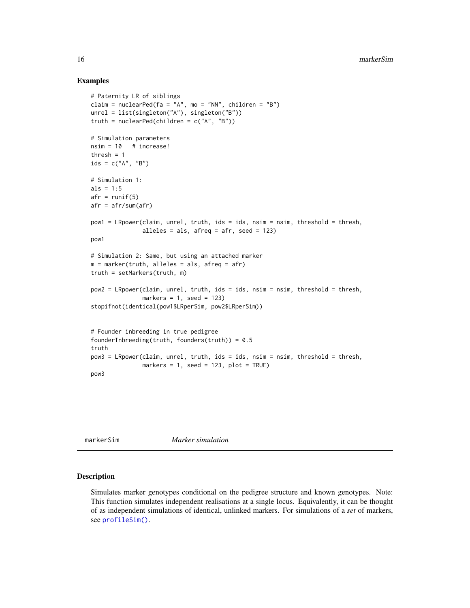## Examples

```
# Paternity LR of siblings
claim = nuclearPed(fa = "A", mo = "NN", children = "B")
unrel = list(singleton("A"), singleton("B"))
truth = nuclearPed(children = c("A", "B"))
# Simulation parameters
nsim = 10 # increase!
thresh = 1ids = c("A", "B")# Simulation 1:
als = 1:5afr = runif(5)afr = afr/sum(afr)pow1 = LRpower(claim, unrel, truth, ids = ids, nsim = nsim, threshold = thresh,
               alleles = als, afreq = afr, seed = 123)
pow1
# Simulation 2: Same, but using an attached marker
m = marker(truth, alleles = als, afreq = afr)
truth = setMarkers(truth, m)
pow2 = LRpower(claim, unrel, truth, ids = ids, nsim = nsim, threshold = thresh,
               markers = 1, seed = 123)
stopifnot(identical(pow1$LRperSim, pow2$LRperSim))
# Founder inbreeding in true pedigree
founderInbreeding(truth, founders(truth)) = 0.5truth
pow3 = LRpower(claim, unrel, truth, ids = ids, nsim = nsim, threshold = thresh,
               markers = 1, seed = 123, plot = TRUE)
pow3
```
<span id="page-15-1"></span>markerSim *Marker simulation*

## Description

Simulates marker genotypes conditional on the pedigree structure and known genotypes. Note: This function simulates independent realisations at a single locus. Equivalently, it can be thought of as independent simulations of identical, unlinked markers. For simulations of a *set* of markers, see [profileSim\(\)](#page-27-1).

<span id="page-15-0"></span>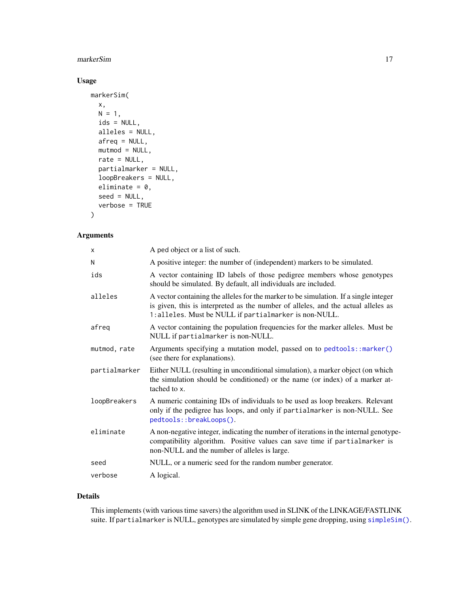#### <span id="page-16-0"></span>markerSim and the contract of the contract of the contract of the contract of the contract of the contract of the contract of the contract of the contract of the contract of the contract of the contract of the contract of

## Usage

```
markerSim(
 x,
 N = 1,
 ids = NULL,
 alleles = NULL,
 afreq = NULL,
 mutmod = NULL,
 rate = NULL,
 partialmarker = NULL,
  loopBreakers = NULL,
  eliminate = 0,seed = NULL,
  verbose = TRUE
)
```
## Arguments

| X             | A ped object or a list of such.                                                                                                                                                                                                     |
|---------------|-------------------------------------------------------------------------------------------------------------------------------------------------------------------------------------------------------------------------------------|
| N             | A positive integer: the number of (independent) markers to be simulated.                                                                                                                                                            |
| ids           | A vector containing ID labels of those pedigree members whose genotypes<br>should be simulated. By default, all individuals are included.                                                                                           |
| alleles       | A vector containing the alleles for the marker to be simulation. If a single integer<br>is given, this is interpreted as the number of alleles, and the actual alleles as<br>1: alleles. Must be NULL if partialmarker is non-NULL. |
| afreg         | A vector containing the population frequencies for the marker alleles. Must be<br>NULL if partialmarker is non-NULL.                                                                                                                |
| mutmod, rate  | Arguments specifying a mutation model, passed on to pedtools::marker()<br>(see there for explanations).                                                                                                                             |
| partialmarker | Either NULL (resulting in unconditional simulation), a marker object (on which<br>the simulation should be conditioned) or the name (or index) of a marker at-<br>tached to x.                                                      |
| loopBreakers  | A numeric containing IDs of individuals to be used as loop breakers. Relevant<br>only if the pedigree has loops, and only if partialmarker is non-NULL. See<br>pedtools::breakLoops().                                              |
| eliminate     | A non-negative integer, indicating the number of iterations in the internal genotype-<br>compatibility algorithm. Positive values can save time if partialmarker is<br>non-NULL and the number of alleles is large.                 |
| seed          | NULL, or a numeric seed for the random number generator.                                                                                                                                                                            |
| verbose       | A logical.                                                                                                                                                                                                                          |

## Details

This implements (with various time savers) the algorithm used in SLINK of the LINKAGE/FASTLINK suite. If partialmarker is NULL, genotypes are simulated by simple gene dropping, using [simpleSim\(\)](#page-30-1).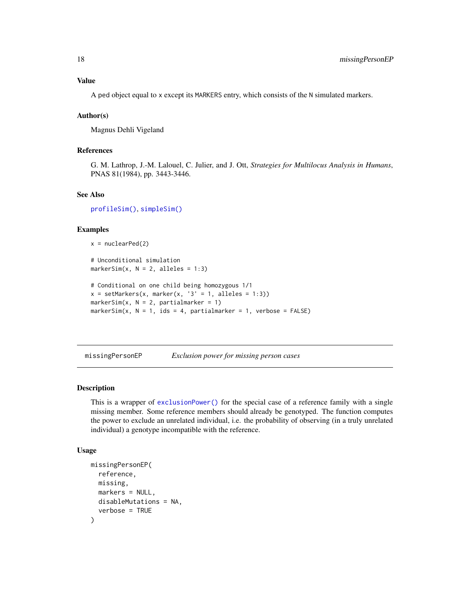<span id="page-17-0"></span>A ped object equal to x except its MARKERS entry, which consists of the N simulated markers.

#### Author(s)

Magnus Dehli Vigeland

## References

G. M. Lathrop, J.-M. Lalouel, C. Julier, and J. Ott, *Strategies for Multilocus Analysis in Humans*, PNAS 81(1984), pp. 3443-3446.

#### See Also

[profileSim\(\)](#page-27-1), [simpleSim\(\)](#page-30-1)

#### Examples

```
x = nuclearPed(2)# Unconditional simulation
markerSim(x, N = 2, alleles = 1:3)
# Conditional on one child being homozygous 1/1
x = setMarkers(x, marker(x, '3' = 1, alleles = 1:3))markerSim(x, N = 2, partialmarker = 1)
markerSim(x, N = 1, ids = 4, partialmarker = 1, verbose = FALSE)
```
<span id="page-17-1"></span>missingPersonEP *Exclusion power for missing person cases*

## **Description**

This is a wrapper of [exclusionPower\(\)](#page-1-1) for the special case of a reference family with a single missing member. Some reference members should already be genotyped. The function computes the power to exclude an unrelated individual, i.e. the probability of observing (in a truly unrelated individual) a genotype incompatible with the reference.

```
missingPersonEP(
  reference,
 missing,
 markers = NULL,
  disableMutations = NA,
  verbose = TRUE
)
```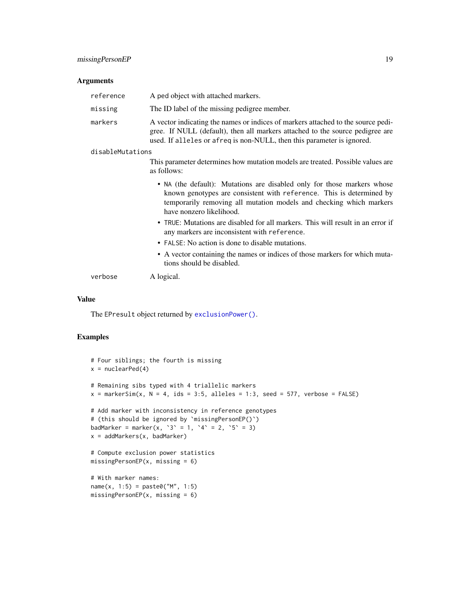#### <span id="page-18-0"></span>Arguments

| reference        | A ped object with attached markers.                                                                                                                                                                                                                |
|------------------|----------------------------------------------------------------------------------------------------------------------------------------------------------------------------------------------------------------------------------------------------|
| missing          | The ID label of the missing pedigree member.                                                                                                                                                                                                       |
| markers          | A vector indicating the names or indices of markers attached to the source pedi-<br>gree. If NULL (default), then all markers attached to the source pedigree are<br>used. If alleles or afreq is non-NULL, then this parameter is ignored.        |
| disableMutations |                                                                                                                                                                                                                                                    |
|                  | This parameter determines how mutation models are treated. Possible values are<br>as follows:                                                                                                                                                      |
|                  | • NA (the default): Mutations are disabled only for those markers whose<br>known genotypes are consistent with reference. This is determined by<br>temporarily removing all mutation models and checking which markers<br>have nonzero likelihood. |
|                  | • TRUE: Mutations are disabled for all markers. This will result in an error if<br>any markers are inconsistent with reference.                                                                                                                    |
|                  | • FALSE: No action is done to disable mutations.                                                                                                                                                                                                   |
|                  | • A vector containing the names or indices of those markers for which muta-<br>tions should be disabled.                                                                                                                                           |
| verbose          | A logical.                                                                                                                                                                                                                                         |

#### Value

The EPresult object returned by [exclusionPower\(\)](#page-1-1).

```
# Four siblings; the fourth is missing
x = nuclearPed(4)# Remaining sibs typed with 4 triallelic markers
x = markerSim(x, N = 4, ids = 3:5, alleles = 1:3, seed = 577, verbose = FALSE)
# Add marker with inconsistency in reference genotypes
# (this should be ignored by `missingPersonEP()`)
badMarker = marker(x, '3' = 1, '4' = 2, '5' = 3)
x = addMarkers(x, badMarker)
# Compute exclusion power statistics
missingPersonEP(x, missing = 6)
# With marker names:
name(x, 1:5) = paste0("M", 1:5)missingPersonEP(x, missing = 6)
```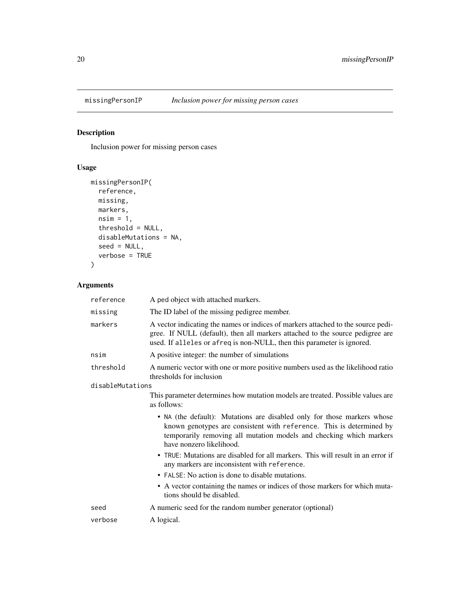<span id="page-19-1"></span><span id="page-19-0"></span>

## Description

Inclusion power for missing person cases

## Usage

```
missingPersonIP(
 reference,
 missing,
 markers,
 nsim = 1,threshold = NULL,
 disableMutations = NA,
 seed = NULL,
  verbose = TRUE
)
```
## Arguments

| reference        | A ped object with attached markers.                                                                                                                                                                                                                |
|------------------|----------------------------------------------------------------------------------------------------------------------------------------------------------------------------------------------------------------------------------------------------|
| missing          | The ID label of the missing pedigree member.                                                                                                                                                                                                       |
| markers          | A vector indicating the names or indices of markers attached to the source pedi-<br>gree. If NULL (default), then all markers attached to the source pedigree are<br>used. If alleles or afreq is non-NULL, then this parameter is ignored.        |
| nsim             | A positive integer: the number of simulations                                                                                                                                                                                                      |
| threshold        | A numeric vector with one or more positive numbers used as the likelihood ratio<br>thresholds for inclusion                                                                                                                                        |
| disableMutations |                                                                                                                                                                                                                                                    |
|                  | This parameter determines how mutation models are treated. Possible values are<br>as follows:                                                                                                                                                      |
|                  | • NA (the default): Mutations are disabled only for those markers whose<br>known genotypes are consistent with reference. This is determined by<br>temporarily removing all mutation models and checking which markers<br>have nonzero likelihood. |
|                  | • TRUE: Mutations are disabled for all markers. This will result in an error if<br>any markers are inconsistent with reference.                                                                                                                    |
|                  | • FALSE: No action is done to disable mutations.                                                                                                                                                                                                   |
|                  | • A vector containing the names or indices of those markers for which muta-<br>tions should be disabled.                                                                                                                                           |
| seed             | A numeric seed for the random number generator (optional)                                                                                                                                                                                          |
| verbose          | A logical.                                                                                                                                                                                                                                         |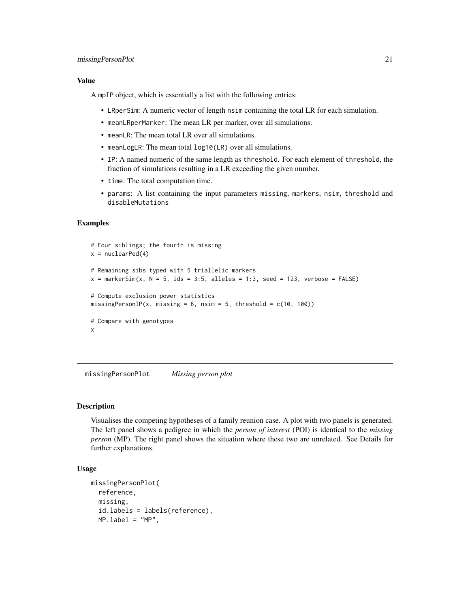#### <span id="page-20-0"></span>missingPersonPlot 21

#### Value

A mpIP object, which is essentially a list with the following entries:

- LRperSim: A numeric vector of length nsim containing the total LR for each simulation.
- meanLRperMarker: The mean LR per marker, over all simulations.
- meanLR: The mean total LR over all simulations.
- meanLogLR: The mean total log10(LR) over all simulations.
- IP: A named numeric of the same length as threshold. For each element of threshold, the fraction of simulations resulting in a LR exceeding the given number.
- time: The total computation time.
- params: A list containing the input parameters missing, markers, nsim, threshold and disableMutations

## Examples

```
# Four siblings; the fourth is missing
x = nuclearPed(4)# Remaining sibs typed with 5 triallelic markers
x = markerSim(x, N = 5, ids = 3:5, alleles = 1:3, seed = 123, verbose = FALSE)
# Compute exclusion power statistics
missingPersonIP(x, missing = 6, nsim = 5, threshold = c(10, 100))
# Compare with genotypes
x
```
missingPersonPlot *Missing person plot*

#### Description

Visualises the competing hypotheses of a family reunion case. A plot with two panels is generated. The left panel shows a pedigree in which the *person of interest* (POI) is identical to the *missing person* (MP). The right panel shows the situation where these two are unrelated. See Details for further explanations.

```
missingPersonPlot(
  reference,
 missing,
  id.labels = labels(reference),
 MP.load = "MP",
```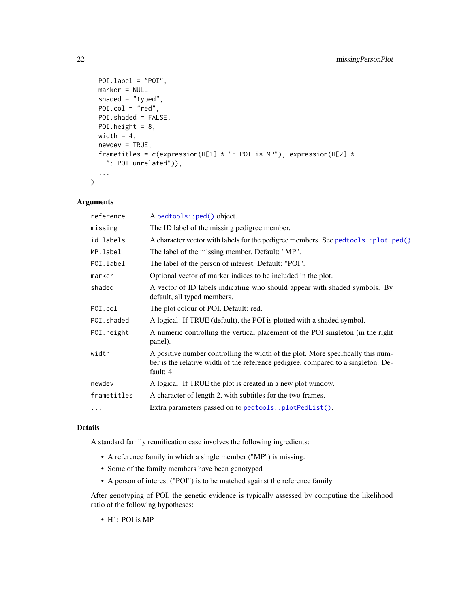```
POI.label = "POI",
 marker = NULL,
 shaded = "typed",
 P0I.col = "red",POI.shaded = FALSE,
 POI.height = 8,
 width = 4,
 newdev = TRUE,frametitles = c(expression(H[1] * ": POI is MP"), expression(H[2] *
   ": POI unrelated")),
  ...
)
```
## Arguments

| reference   | A pedtools::ped() object.                                                                                                                                                          |
|-------------|------------------------------------------------------------------------------------------------------------------------------------------------------------------------------------|
| missing     | The ID label of the missing pedigree member.                                                                                                                                       |
| id.labels   | A character vector with labels for the pedigree members. See pedtools::plot.ped().                                                                                                 |
| MP.label    | The label of the missing member. Default: "MP".                                                                                                                                    |
| POI.label   | The label of the person of interest. Default: "POI".                                                                                                                               |
| marker      | Optional vector of marker indices to be included in the plot.                                                                                                                      |
| shaded      | A vector of ID labels indicating who should appear with shaded symbols. By<br>default, all typed members.                                                                          |
| POI.col     | The plot colour of POI. Default: red.                                                                                                                                              |
| POI.shaded  | A logical: If TRUE (default), the POI is plotted with a shaded symbol.                                                                                                             |
| POI.height  | A numeric controlling the vertical placement of the POI singleton (in the right<br>panel).                                                                                         |
| width       | A positive number controlling the width of the plot. More specifically this num-<br>ber is the relative width of the reference pedigree, compared to a singleton. De-<br>fault: 4. |
| newdev      | A logical: If TRUE the plot is created in a new plot window.                                                                                                                       |
| frametitles | A character of length 2, with subtitles for the two frames.                                                                                                                        |
| $\cdots$    | Extra parameters passed on to pedtools::plotPedList().                                                                                                                             |
|             |                                                                                                                                                                                    |

## Details

A standard family reunification case involves the following ingredients:

- A reference family in which a single member ("MP") is missing.
- Some of the family members have been genotyped
- A person of interest ("POI") is to be matched against the reference family

After genotyping of POI, the genetic evidence is typically assessed by computing the likelihood ratio of the following hypotheses:

• H1: POI is MP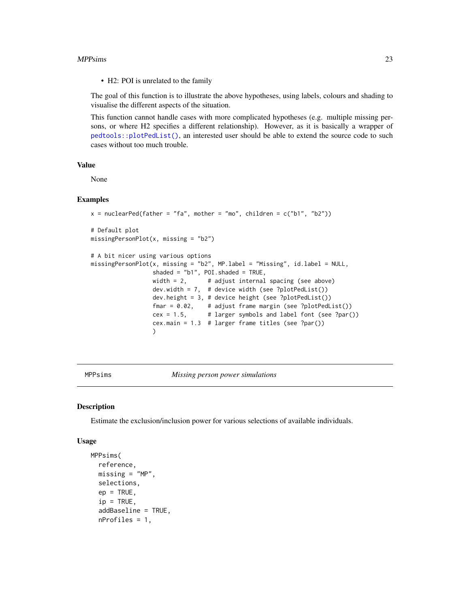#### <span id="page-22-0"></span>MPPsims 23

• H2: POI is unrelated to the family

The goal of this function is to illustrate the above hypotheses, using labels, colours and shading to visualise the different aspects of the situation.

This function cannot handle cases with more complicated hypotheses (e.g. multiple missing persons, or where H2 specifies a different relationship). However, as it is basically a wrapper of [pedtools::plotPedList\(\)](#page-0-0), an interested user should be able to extend the source code to such cases without too much trouble.

## Value

None

#### Examples

```
x = nuclearPed(father = "fa", mother = "mo", children = c("b1", "b2"))# Default plot
missingPersonPlot(x, missing = "b2")
# A bit nicer using various options
missingPersonPlot(x, missing = "b2", MP.label = "Missing", id.label = NULL,
                 shaded = "b1", POI.shaded = TRUE,
                 width = 2, \# adjust internal spacing (see above)
                 dev.width = 7, # device width (see ?plotPedList())
                 dev.height = 3, # device height (see ?plotPedList())
                 fmar = 0.02, # adjust frame margin (see ?plotPedList())
                 cex = 1.5, # larger symbols and label font (see ?par())
                 cex.main = 1.3 # larger frame titles (see ?par())
                 )
```
<span id="page-22-1"></span>MPPsims *Missing person power simulations*

#### Description

Estimate the exclusion/inclusion power for various selections of available individuals.

```
MPPsims(
  reference,
 missing = "MP".selections,
  ep = TRUE,
  ip = TRUE,addBaseline = TRUE,
  nProfiles = 1,
```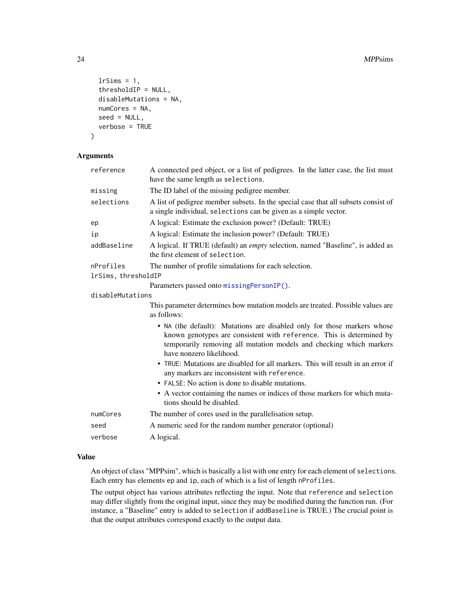```
lrSims = 1,
thresholdIP = NULL,
disableMutations = NA,
numCores = NA,
seed = NULL,
verbose = TRUE
```
)

## Arguments

| reference           | A connected ped object, or a list of pedigrees. In the latter case, the list must<br>have the same length as selections.                                                                                                                           |
|---------------------|----------------------------------------------------------------------------------------------------------------------------------------------------------------------------------------------------------------------------------------------------|
| missing             | The ID label of the missing pedigree member.                                                                                                                                                                                                       |
| selections          | A list of pedigree member subsets. In the special case that all subsets consist of<br>a single individual, selections can be given as a simple vector.                                                                                             |
| ep                  | A logical: Estimate the exclusion power? (Default: TRUE)                                                                                                                                                                                           |
| ip                  | A logical: Estimate the inclusion power? (Default: TRUE)                                                                                                                                                                                           |
| addBaseline         | A logical. If TRUE (default) an <i>empty</i> selection, named "Baseline", is added as<br>the first element of selection.                                                                                                                           |
| nProfiles           | The number of profile simulations for each selection.                                                                                                                                                                                              |
| lrSims, thresholdIP |                                                                                                                                                                                                                                                    |
|                     | Parameters passed onto missingPersonIP().                                                                                                                                                                                                          |
| disableMutations    |                                                                                                                                                                                                                                                    |
|                     | This parameter determines how mutation models are treated. Possible values are<br>as follows:                                                                                                                                                      |
|                     | • NA (the default): Mutations are disabled only for those markers whose<br>known genotypes are consistent with reference. This is determined by<br>temporarily removing all mutation models and checking which markers<br>have nonzero likelihood. |
|                     | • TRUE: Mutations are disabled for all markers. This will result in an error if<br>any markers are inconsistent with reference.                                                                                                                    |
|                     | • FALSE: No action is done to disable mutations.                                                                                                                                                                                                   |
|                     | • A vector containing the names or indices of those markers for which muta-<br>tions should be disabled.                                                                                                                                           |
| numCores            | The number of cores used in the parallelisation setup.                                                                                                                                                                                             |
| seed                | A numeric seed for the random number generator (optional)                                                                                                                                                                                          |
| verbose             | A logical.                                                                                                                                                                                                                                         |

## Value

An object of class "MPPsim", which is basically a list with one entry for each element of selections. Each entry has elements ep and ip, each of which is a list of length nProfiles.

The output object has various attributes reflecting the input. Note that reference and selection may differ slightly from the original input, since they may be modified during the function run. (For instance, a "Baseline" entry is added to selection if addBaseline is TRUE.) The crucial point is that the output attributes correspond exactly to the output data.

<span id="page-23-0"></span>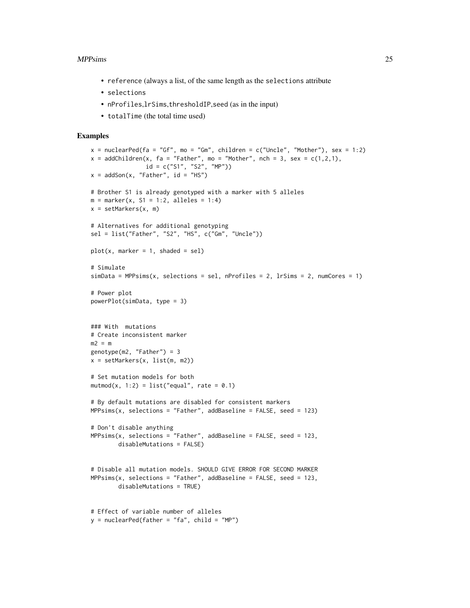#### MPPsims 25

- reference (always a list, of the same length as the selections attribute
- selections
- nProfiles,lrSims,thresholdIP,seed (as in the input)
- totalTime (the total time used)

```
x = nuclearPed(fa = "Gf", mo = "Gm", children = c("Uncle", "Mother"), sex = 1:2)x = addChildren(x, fa = "Father", mo = "Mother", nch = 3, sex = c(1,2,1),id = c("S1", "S2", "MP"))
x = addSon(x, "Father", id = "HS")# Brother S1 is already genotyped with a marker with 5 alleles
m = marker(x, S1 = 1:2, alleles = 1:4)
x = setMarkers(x, m)# Alternatives for additional genotyping
sel = list("Father", "S2", "HS", c("Gm", "Uncle"))
plot(x, marker = 1, shaded = sel)# Simulate
simData = MPPsims(x, selections = sel, nProfiles = 2, lrsims = 2, numCores = 1)# Power plot
powerPlot(simData, type = 3)
### With mutations
# Create inconsistent marker
m2 = mgenotype(m2, "Father") = 3
x = setMarkers(x, list(m, m2))
# Set mutation models for both
mutmod(x, 1:2) = list("equal", rate = 0.1)
# By default mutations are disabled for consistent markers
MPPsim(x, selection s = "Father", addBaseline = FALSE, seed = 123)# Don't disable anything
MPPsims(x, selections = "Father", addBaseline = FALSE, seed = 123,disableMutations = FALSE)
# Disable all mutation models. SHOULD GIVE ERROR FOR SECOND MARKER
MPPsim(x, selection s = "Father", addBaseline = FALSE, seed = 123,disableMutations = TRUE)
# Effect of variable number of alleles
y = nuclearPed(father = "fa", child = "MP")
```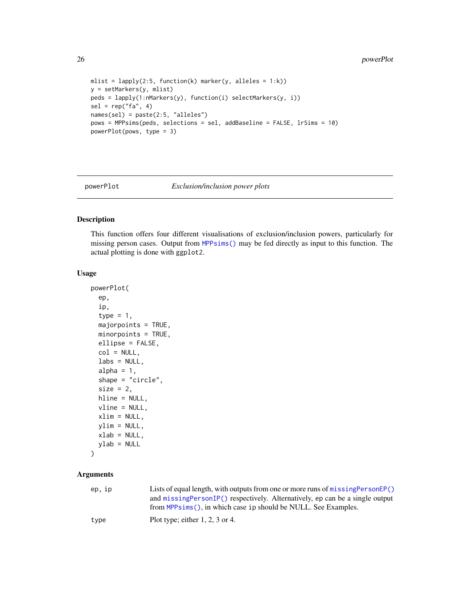```
mlist = lapply(2:5, function(k) marker(y, alleles = 1:k))
y = setMarkers(y, mlist)
peds = lapply(1:nMarkers(y), function(i) selectMarkers(y, i))
sel = rep("fa", 4)names(sel) = paste(2:5, "alleles")
pows = MPPsims(peds, selections = sel, addBaseline = FALSE, lrSims = 10)
powerPlot(pows, type = 3)
```
powerPlot *Exclusion/inclusion power plots*

## Description

This function offers four different visualisations of exclusion/inclusion powers, particularly for missing person cases. Output from [MPPsims\(\)](#page-22-1) may be fed directly as input to this function. The actual plotting is done with ggplot2.

#### Usage

```
powerPlot(
  ep,
  ip,
  type = 1,
  majorpoints = TRUE,
  minorpoints = TRUE,
  ellipse = FALSE,
  col = NULL,\text{labels} = \text{NULL},
  alpha = 1,
  shape = "circle",
  size = 2,
  hline = NULL,
  vline = NULL,
  xlim = NULL,ylim = NULL,
  xlab = NULL,
  ylab = NULL
)
```
## Arguments

| ep.ip | Lists of equal length, with outputs from one or more runs of $missingPersonEP()$ |
|-------|----------------------------------------------------------------------------------|
|       | and missing Person IP() respectively. Alternatively, ep can be a single output   |
|       | from MPPsims(), in which case ip should be NULL. See Examples.                   |
| tvpe  | Plot type; either $1, 2, 3$ or 4.                                                |
|       |                                                                                  |

<span id="page-25-0"></span>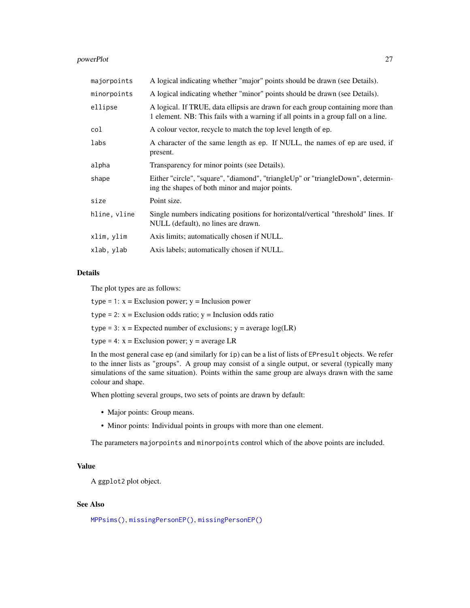#### <span id="page-26-0"></span>powerPlot 27

| majorpoints  | A logical indicating whether "major" points should be drawn (see Details).                                                                                           |
|--------------|----------------------------------------------------------------------------------------------------------------------------------------------------------------------|
| minorpoints  | A logical indicating whether "minor" points should be drawn (see Details).                                                                                           |
| ellipse      | A logical. If TRUE, data ellipsis are drawn for each group containing more than<br>1 element. NB: This fails with a warning if all points in a group fall on a line. |
| col          | A colour vector, recycle to match the top level length of ep.                                                                                                        |
| labs         | A character of the same length as ep. If NULL, the names of ep are used, if<br>present.                                                                              |
| alpha        | Transparency for minor points (see Details).                                                                                                                         |
| shape        | Either "circle", "square", "diamond", "triangleUp" or "triangleDown", determin-<br>ing the shapes of both minor and major points.                                    |
| size         | Point size.                                                                                                                                                          |
| hline, vline | Single numbers indicating positions for horizontal/vertical "threshold" lines. If<br>NULL (default), no lines are drawn.                                             |
| xlim, ylim   | Axis limits; automatically chosen if NULL.                                                                                                                           |
| xlab, ylab   | Axis labels; automatically chosen if NULL.                                                                                                                           |
|              |                                                                                                                                                                      |

## Details

The plot types are as follows:

 $type = 1: x = Exclusion power; y = Inclusion power$ 

type = 2:  $x = Exclusion$  odds ratio;  $y = Inclusion$  odds ratio

type = 3:  $x =$  Expected number of exclusions;  $y =$  average  $log(LR)$ 

type = 4:  $x = Exclusion power$ ;  $y = average LR$ 

In the most general case ep (and similarly for ip) can be a list of lists of EPresult objects. We refer to the inner lists as "groups". A group may consist of a single output, or several (typically many simulations of the same situation). Points within the same group are always drawn with the same colour and shape.

When plotting several groups, two sets of points are drawn by default:

- Major points: Group means.
- Minor points: Individual points in groups with more than one element.

The parameters majorpoints and minorpoints control which of the above points are included.

#### Value

A ggplot2 plot object.

#### See Also

[MPPsims\(\)](#page-22-1), [missingPersonEP\(\)](#page-17-1), [missingPersonEP\(\)](#page-17-1)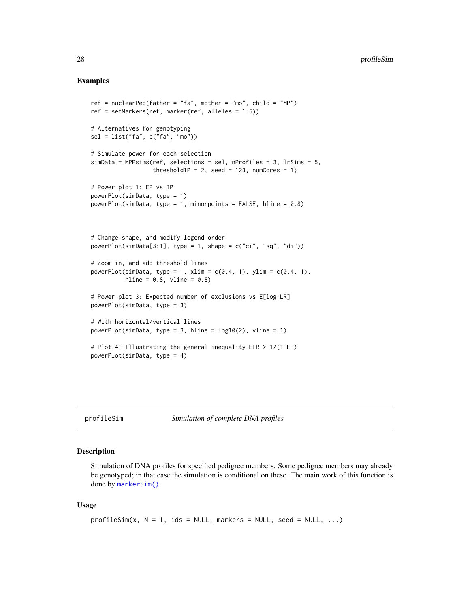### <span id="page-27-0"></span>Examples

```
ref = nuclearPed(father = "fa", mother = "mo", child = "MP")ref = setMarkers(ref, marker(ref, alleles = 1:5))
# Alternatives for genotyping
sel = list("fa", c("fa", "mo"))
# Simulate power for each selection
simData = MPPsims(ref, selections = sel, nProfiles = 3, lrSims = 5,
                  thresholdIP = 2, seed = 123, numCores = 1)
# Power plot 1: EP vs IP
powerPlot(simData, type = 1)
powerPlot(simData, type = 1, minorpoints = FALSE, hline = 0.8)
# Change shape, and modify legend order
powerPlot(\text{simData}[3:1], type = 1, shape = c("ci", "sq", "di"))# Zoom in, and add threshold lines
powerPlot(simData, type = 1, xlim = c(0.4, 1), ylim = c(0.4, 1),
          hline = 0.8, vline = 0.8)
# Power plot 3: Expected number of exclusions vs E[log LR]
powerPlot(simData, type = 3)
# With horizontal/vertical lines
powerPlot(simData, type = 3, hline = log10(2), vline = 1)
# Plot 4: Illustrating the general inequality ELR > 1/(1-EP)
powerPlot(simData, type = 4)
```
<span id="page-27-1"></span>profileSim *Simulation of complete DNA profiles*

#### Description

Simulation of DNA profiles for specified pedigree members. Some pedigree members may already be genotyped; in that case the simulation is conditional on these. The main work of this function is done by [markerSim\(\)](#page-15-1).

```
profileSim(x, N = 1, ids = NULL, marks = NULL, seed = NULL, ...)
```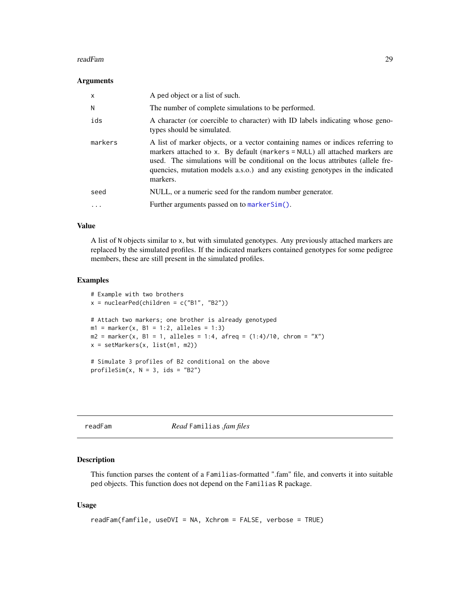#### <span id="page-28-0"></span>readFam 29

#### Arguments

| $\mathsf{x}$ | A ped object or a list of such.                                                                                                                                                                                                                                                                                                                |
|--------------|------------------------------------------------------------------------------------------------------------------------------------------------------------------------------------------------------------------------------------------------------------------------------------------------------------------------------------------------|
| N            | The number of complete simulations to be performed.                                                                                                                                                                                                                                                                                            |
| ids          | A character (or coercible to character) with ID labels indicating whose geno-<br>types should be simulated.                                                                                                                                                                                                                                    |
| markers      | A list of marker objects, or a vector containing names or indices referring to<br>markers attached to x. By default (markers $=$ NULL) all attached markers are<br>used. The simulations will be conditional on the locus attributes (allele fre-<br>quencies, mutation models a.s.o.) and any existing genotypes in the indicated<br>markers. |
| seed         | NULL, or a numeric seed for the random number generator.                                                                                                                                                                                                                                                                                       |
| $\cdots$     | Further arguments passed on to markerSim().                                                                                                                                                                                                                                                                                                    |

#### Value

A list of N objects similar to x, but with simulated genotypes. Any previously attached markers are replaced by the simulated profiles. If the indicated markers contained genotypes for some pedigree members, these are still present in the simulated profiles.

#### Examples

```
# Example with two brothers
x = nuclearPed(children = c("B1", "B2"))# Attach two markers; one brother is already genotyped
m1 = marker(x, B1 = 1:2, alleles = 1:3)m2 = marker(x, B1 = 1, alleles = 1:4, afreq = (1:4)/10, chrom = "X")x = setMarkers(x, list(m1, m2))
# Simulate 3 profiles of B2 conditional on the above
profileSim(x, N = 3, ids = "B2")
```

```
readFam Read Familias .fam files
```
#### Description

This function parses the content of a Familias-formatted ".fam" file, and converts it into suitable ped objects. This function does not depend on the Familias R package.

```
readFam(famfile, useDVI = NA, Xchrom = FALSE, verbose = TRUE)
```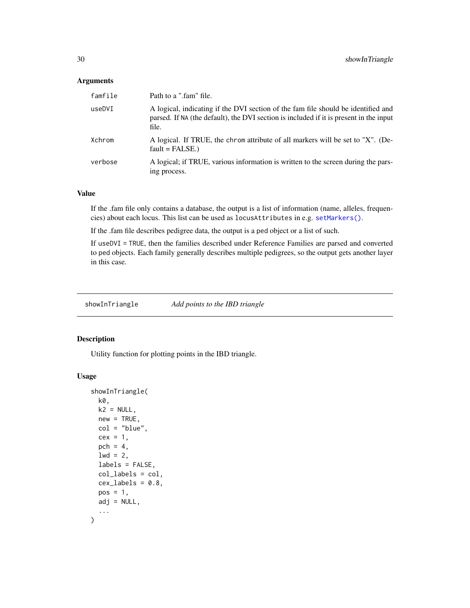#### <span id="page-29-0"></span>Arguments

| famfile | Path to a ".fam" file.                                                                                                                                                               |
|---------|--------------------------------------------------------------------------------------------------------------------------------------------------------------------------------------|
| useDVI  | A logical, indicating if the DVI section of the fam file should be identified and<br>parsed. If NA (the default), the DVI section is included if it is present in the input<br>file. |
| Xchrom  | A logical. If TRUE, the chrom attribute of all markers will be set to "X". (De-<br>$fault = FALSE.)$                                                                                 |
| verbose | A logical; if TRUE, various information is written to the screen during the pars-<br>ing process.                                                                                    |

## Value

If the .fam file only contains a database, the output is a list of information (name, alleles, frequencies) about each locus. This list can be used as locusAttributes in e.g. [setMarkers\(\)](#page-0-0).

If the .fam file describes pedigree data, the output is a ped object or a list of such.

If useDVI = TRUE, then the families described under Reference Families are parsed and converted to ped objects. Each family generally describes multiple pedigrees, so the output gets another layer in this case.

<span id="page-29-1"></span>showInTriangle *Add points to the IBD triangle*

## Description

Utility function for plotting points in the IBD triangle.

```
showInTriangle(
 k0,
 k2 = NULL,new = TRUE,col = "blue",cex = 1,
 pch = 4,
  1wd = 2,
  labels = FALSE,
  col_labels = col,
 cex\_labels = 0.8,
 pos = 1,
 adj = NULL,...
)
```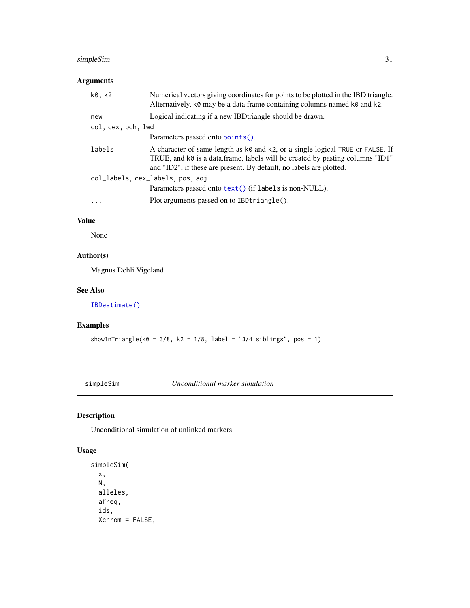## <span id="page-30-0"></span>simpleSim 31

## Arguments

| k0, k2             | Numerical vectors giving coordinates for points to be plotted in the IBD triangle.<br>Alternatively, k0 may be a data.frame containing columns named k0 and k2.                                                                        |
|--------------------|----------------------------------------------------------------------------------------------------------------------------------------------------------------------------------------------------------------------------------------|
| new                | Logical indicating if a new IBD triangle should be drawn.                                                                                                                                                                              |
| col, cex, pch, lwd |                                                                                                                                                                                                                                        |
|                    | Parameters passed onto points().                                                                                                                                                                                                       |
| labels             | A character of same length as k0 and k2, or a single logical TRUE or FALSE. If<br>TRUE, and k0 is a data.frame, labels will be created by pasting columns "ID1"<br>and "ID2", if these are present. By default, no labels are plotted. |
|                    | col_labels, cex_labels, pos, adj                                                                                                                                                                                                       |
|                    | Parameters passed onto text() (if labels is non-NULL).                                                                                                                                                                                 |
| .                  | Plot arguments passed on to IBDtriangle().                                                                                                                                                                                             |
|                    |                                                                                                                                                                                                                                        |

## Value

None

## Author(s)

Magnus Dehli Vigeland

## See Also

[IBDestimate\(\)](#page-8-1)

## Examples

showInTriangle(k0 =  $3/8$ , k2 =  $1/8$ , label = " $3/4$  siblings", pos = 1)

<span id="page-30-1"></span>simpleSim *Unconditional marker simulation*

## Description

Unconditional simulation of unlinked markers

```
simpleSim(
 x,
 N,
 alleles,
 afreq,
  ids,
 Xchrom = FALSE,
```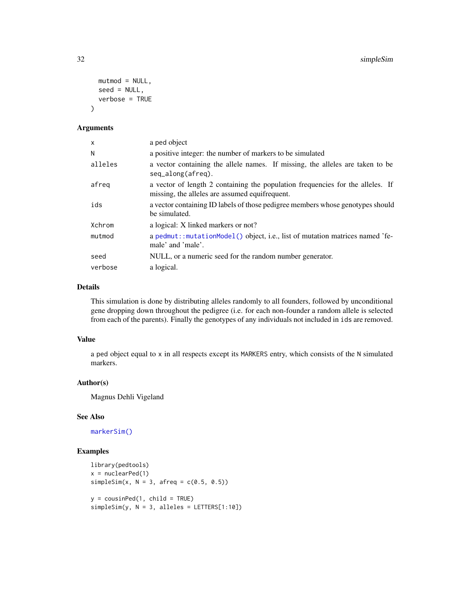```
mutmod = NULL,seed = NULL,
  verbose = TRUE
\lambda
```
## Arguments

| X       | a ped object                                                                                                                     |
|---------|----------------------------------------------------------------------------------------------------------------------------------|
| N       | a positive integer: the number of markers to be simulated                                                                        |
| alleles | a vector containing the allele names. If missing, the alleles are taken to be<br>$seq\_along(afreq)$ .                           |
| afreg   | a vector of length 2 containing the population frequencies for the alleles. If<br>missing, the alleles are assumed equifrequent. |
| ids     | a vector containing ID labels of those pedigree members whose genotypes should<br>be simulated.                                  |
| Xchrom  | a logical: X linked markers or not?                                                                                              |
| mutmod  | a pedmut::mutationModel() object, i.e., list of mutation matrices named 'fe-<br>male' and 'male'.                                |
| seed    | NULL, or a numeric seed for the random number generator.                                                                         |
| verbose | a logical.                                                                                                                       |

#### Details

This simulation is done by distributing alleles randomly to all founders, followed by unconditional gene dropping down throughout the pedigree (i.e. for each non-founder a random allele is selected from each of the parents). Finally the genotypes of any individuals not included in ids are removed.

## Value

a ped object equal to x in all respects except its MARKERS entry, which consists of the N simulated markers.

#### Author(s)

Magnus Dehli Vigeland

## See Also

[markerSim\(\)](#page-15-1)

```
library(pedtools)
x = nuclearPed(1)simpleSim(x, N = 3, afreq = c(0.5, 0.5))y = \text{cousinPed}(1, \text{ child} = \text{TRUE})simpleSim(y, N = 3, alleles = LETTERS[1:10])
```